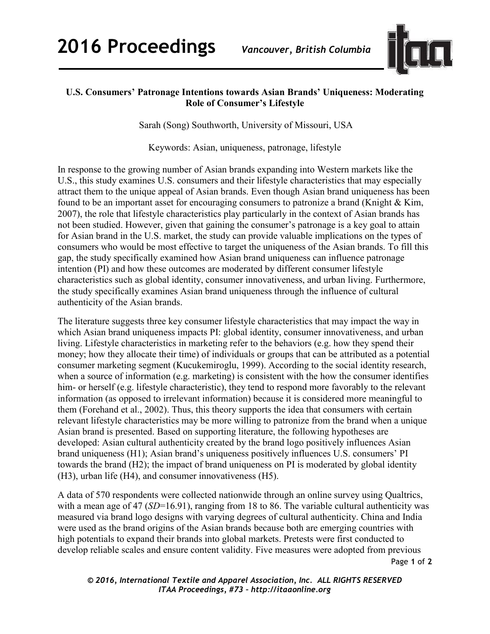

## **U.S. Consumers' Patronage Intentions towards Asian Brands' Uniqueness: Moderating Role of Consumer's Lifestyle**

Sarah (Song) Southworth, University of Missouri, USA

Keywords: Asian, uniqueness, patronage, lifestyle

In response to the growing number of Asian brands expanding into Western markets like the U.S., this study examines U.S. consumers and their lifestyle characteristics that may especially attract them to the unique appeal of Asian brands. Even though Asian brand uniqueness has been found to be an important asset for encouraging consumers to patronize a brand (Knight & Kim, 2007), the role that lifestyle characteristics play particularly in the context of Asian brands has not been studied. However, given that gaining the consumer's patronage is a key goal to attain for Asian brand in the U.S. market, the study can provide valuable implications on the types of consumers who would be most effective to target the uniqueness of the Asian brands. To fill this gap, the study specifically examined how Asian brand uniqueness can influence patronage intention (PI) and how these outcomes are moderated by different consumer lifestyle characteristics such as global identity, consumer innovativeness, and urban living. Furthermore, the study specifically examines Asian brand uniqueness through the influence of cultural authenticity of the Asian brands.

The literature suggests three key consumer lifestyle characteristics that may impact the way in which Asian brand uniqueness impacts PI: global identity, consumer innovativeness, and urban living. Lifestyle characteristics in marketing refer to the behaviors (e.g. how they spend their money; how they allocate their time) of individuals or groups that can be attributed as a potential consumer marketing segment (Kucukemiroglu, 1999). According to the social identity research, when a source of information (e.g. marketing) is consistent with the how the consumer identifies him- or herself (e.g. lifestyle characteristic), they tend to respond more favorably to the relevant information (as opposed to irrelevant information) because it is considered more meaningful to them (Forehand et al., 2002). Thus, this theory supports the idea that consumers with certain relevant lifestyle characteristics may be more willing to patronize from the brand when a unique Asian brand is presented. Based on supporting literature, the following hypotheses are developed: Asian cultural authenticity created by the brand logo positively influences Asian brand uniqueness (H1); Asian brand's uniqueness positively influences U.S. consumers' PI towards the brand (H2); the impact of brand uniqueness on PI is moderated by global identity (H3), urban life (H4), and consumer innovativeness (H5).

Page **1** of **2**  A data of 570 respondents were collected nationwide through an online survey using Qualtrics, with a mean age of 47 (*SD*=16.91), ranging from 18 to 86. The variable cultural authenticity was measured via brand logo designs with varying degrees of cultural authenticity. China and India were used as the brand origins of the Asian brands because both are emerging countries with high potentials to expand their brands into global markets. Pretests were first conducted to develop reliable scales and ensure content validity. Five measures were adopted from previous

*© 2016, International Textile and Apparel Association, Inc. ALL RIGHTS RESERVED ITAA Proceedings, #73 – http://itaaonline.org*